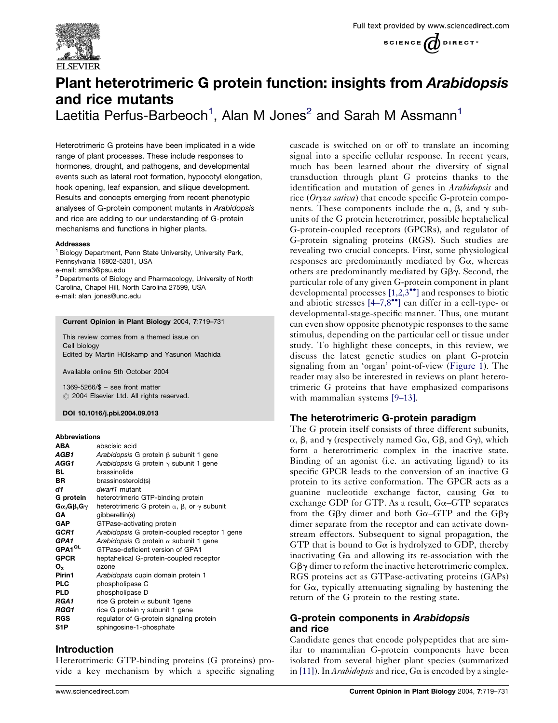



# Plant heterotrimeric G protein function: insights from Arabidopsis and rice mutants

Laetitia Perfus-Barbeoch<sup>1</sup>, Alan M Jones<sup>2</sup> and Sarah M Assmann<sup>1</sup>

Heterotrimeric G proteins have been implicated in a wide range of plant processes. These include responses to hormones, drought, and pathogens, and developmental events such as lateral root formation, hypocotyl elongation, hook opening, leaf expansion, and silique development. Results and concepts emerging from recent phenotypic analyses of G-protein component mutants in Arabidopsis and rice are adding to our understanding of G-protein mechanisms and functions in higher plants.

#### Addresses

<sup>1</sup> Biology Department, Penn State University, University Park, Pennsylvania 16802-5301, USA e-mail: sma3@psu.edu <sup>2</sup> Departments of Biology and Pharmacology, University of North

Carolina, Chapel Hill, North Carolina 27599, USA e-mail: alan\_jones@unc.edu

### Current Opinion in Plant Biology 2004, 7:719–731

This review comes from a themed issue on Cell biology Edited by Martin Hülskamp and Yasunori Machida

Available online 5th October 2004

1369-5266/\$ – see front matter  $\odot$  2004 Elsevier Ltd. All rights reserved.

#### DOI 10.1016/j.pbi.2004.09.013

#### **Abbreviations**

| <b>ABA</b>                       | abscisic acid                                                     |
|----------------------------------|-------------------------------------------------------------------|
| AGB1                             | Arabidopsis G protein $\beta$ subunit 1 gene                      |
| AGG1                             | Arabidopsis G protein $\gamma$ subunit 1 gene                     |
| BL                               | brassinolide                                                      |
| BR.                              | brassinosteroid(s)                                                |
| d1                               | dwarf1 mutant                                                     |
| G protein                        | heterotrimeric GTP-binding protein                                |
| $G\alpha$ , $G\beta$ , $G\gamma$ | heterotrimeric G protein $\alpha$ , $\beta$ , or $\gamma$ subunit |
| <b>GA</b>                        | qibberellin(s)                                                    |
| <b>GAP</b>                       | GTPase-activating protein                                         |
| GCR1                             | Arabidopsis G protein-coupled receptor 1 gene                     |
| GPA1                             | Arabidopsis G protein $\alpha$ subunit 1 gene                     |
| GPA1 <sup>QL</sup>               | GTPase-deficient version of GPA1                                  |
| <b>GPCR</b>                      | heptahelical G-protein-coupled receptor                           |
| О,                               | ozone                                                             |
| Pirin1                           | Arabidopsis cupin domain protein 1                                |
| <b>PLC</b>                       | phospholipase C                                                   |
| <b>PLD</b>                       | phospholipase D                                                   |
| RGA1                             | rice G protein $\alpha$ subunit 1 gene                            |
| RGG1                             | rice G protein $\gamma$ subunit 1 gene                            |
| <b>RGS</b>                       | regulator of G-protein signaling protein                          |
| S1P                              | sphingosine-1-phosphate                                           |
|                                  |                                                                   |

# **Introduction**

Heterotrimeric GTP-binding proteins (G proteins) provide a key mechanism by which a specific signaling cascade is switched on or off to translate an incoming signal into a specific cellular response. In recent years, much has been learned about the diversity of signal transduction through plant G proteins thanks to the identification and mutation of genes in *Arabidopsis* and rice (Oryza sativa) that encode specific G-protein components. These components include the  $\alpha$ ,  $\beta$ , and  $\gamma$  subunits of the G protein heterotrimer, possible heptahelical G-protein-coupled receptors (GPCRs), and regulator of G-protein signaling proteins (RGS). Such studies are revealing two crucial concepts. First, some physiological responses are predominantly mediated by  $G\alpha$ , whereas others are predominantly mediated by  $G\beta\gamma$ . Second, the particular role of any given G-protein component in plant developmental processes  $[1,2,3$ <sup>oo</sup>[\]](#page-10-0) and responses to biotic and abiotic stresses  $[4-7,8$ <sup>\*\*</sup>[\]](#page-10-0) can differ in a cell-type- or developmental-stage-specific manner. Thus, one mutant can even show opposite phenotypic responses to the same stimulus, depending on the particular cell or tissue under study. To highlight these concepts, in this review, we discuss the latest genetic studies on plant G-protein signaling from an 'organ' point-of-view ([Figure 1\)](#page-1-0). The reader may also be interested in reviews on plant heterotrimeric G proteins that have emphasized comparisons with mammalian systems [\[9–13\]](#page-11-0).

# The heterotrimeric G-protein paradigm

The G protein itself consists of three different subunits,  $\alpha$ ,  $\beta$ , and  $\gamma$  (respectively named  $G\alpha$ ,  $G\beta$ , and  $G\gamma$ ), which form a heterotrimeric complex in the inactive state. Binding of an agonist (i.e. an activating ligand) to its specific GPCR leads to the conversion of an inactive G protein to its active conformation. The GPCR acts as a guanine nucleotide exchange factor, causing Ga to exchange GDP for GTP. As a result,  $Ga-GTP$  separates from the G $\beta\gamma$  dimer and both G $\alpha$ –GTP and the G $\beta\gamma$ dimer separate from the receptor and can activate downstream effectors. Subsequent to signal propagation, the GTP that is bound to  $G\alpha$  is hydrolyzed to GDP, thereby inactivating  $G\alpha$  and allowing its re-association with the  $G\beta\gamma$  dimer to reform the inactive heterotrimeric complex. RGS proteins act as GTPase-activating proteins (GAPs) for  $G\alpha$ , typically attenuating signaling by hastening the return of the G protein to the resting state.

# G-protein components in Arabidopsis and rice

Candidate genes that encode polypeptides that are similar to mammalian G-protein components have been isolated from several higher plant species (summarized in [\[11\]](#page-11-0)). In *Arabidopsis* and rice,  $G\alpha$  is encoded by a single-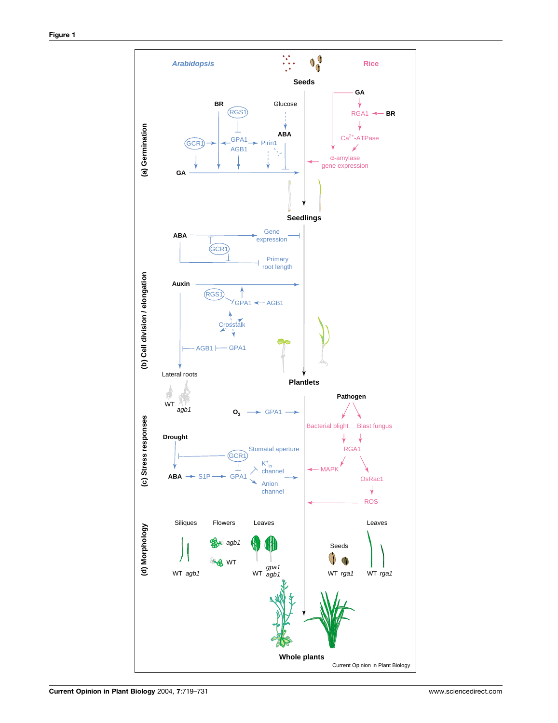<span id="page-1-0"></span>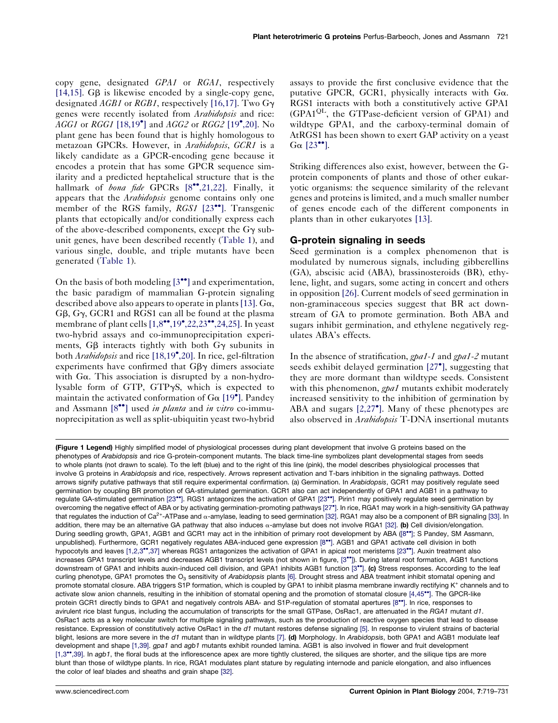copy gene, designated GPA1 or RGA1, respectively [\[14,15\]](#page-11-0). G $\beta$  is likewise encoded by a single-copy gene, designated AGB1 or RGB1, respectively [\[16,17\]](#page-11-0). Two G $\gamma$ genes were recently isolated from Arabidopsis and rice:  $AGG1$  or  $RGG1$  [\[18,19](#page-11-0)<sup>\*</sup>[\]](#page-11-0) and  $AGG2$  or  $RGG2$  [\[19](#page-11-0)<sup>\*</sup>[,20\]](#page-11-0). No plant gene has been found that is highly homologous to metazoan GPCRs. However, in Arabidopsis, GCR1 is a likely candidate as a GPCR-encoding gene because it encodes a protein that has some GPCR sequence similarity and a predicted heptahelical structure that is the hallmark of bona fide GPCRs [\[8](#page-10-0)\*[,21,22\]](#page-10-0). Finally, it appears that the *Arabidopsis* genome contains only one member of the RGS family, RGS1 [\[23](#page-11-0)<sup>\*\*</sup>[\].](#page-11-0) Transgenic plants that ectopically and/or conditionally express each of the above-described components, except the  $G\gamma$  subunit genes, have been described recently [\(Table 1\)](#page-3-0), and various single, double, and triple mutants have been generated ([Table 1\)](#page-3-0).

On the basis of both modeling  $[3^{\bullet\bullet}]$  $[3^{\bullet\bullet}]$  $[3^{\bullet\bullet}]$  and experimentation, the basic paradigm of mammalian G-protein signaling described above also appears to operate in plants [\[13\]](#page-11-0).  $G\alpha$ ,  $G\beta$ ,  $G\gamma$ ,  $GCR1$  and  $RGS1$  can all be found at the plasma membrane of plant cells [\[1,8](#page-10-0)\*\*[,19](#page-10-0)\*[,22,23](#page-10-0)\*\*[,24,25\].](#page-10-0) In yeast two-hybrid assays and co-immunoprecipitation experiments, G $\beta$  interacts tightly with both G $\gamma$  subunits in both Arabidopsis and rice [\[18,19](#page-11-0)<sup>°</sup>[,20\]](#page-11-0). In rice, gel-filtration experiments have confirmed that  $G\beta\gamma$  dimers associate with G $\alpha$ . This association is disrupted by a non-hydrolysable form of GTP, GTP $\gamma$ S, which is expected to maintain the activated conformation of  $G\alpha$  [\[19](#page-11-0)<sup>°</sup>[\]](#page-11-0). Pandey and Assmann  $[8^{\bullet\bullet}]$  $[8^{\bullet\bullet}]$  $[8^{\bullet\bullet}]$  used *in planta* and *in vitro* co-immunoprecipitation as well as split-ubiquitin yeast two-hybrid assays to provide the first conclusive evidence that the putative GPCR, GCR1, physically interacts with Ga. RGS1 interacts with both a constitutively active GPA1 (GPA1QL, the GTPase-deficient version of GPA1) and wildtype GPA1, and the carboxy-terminal domain of AtRGS1 has been shown to exert GAP activity on a yeast  $Ga$  [\[23](#page-11-0)<sup> $\bullet$ </sup>[\].](#page-11-0)

Striking differences also exist, however, between the Gprotein components of plants and those of other eukaryotic organisms: the sequence similarity of the relevant genes and proteins is limited, and a much smaller number of genes encode each of the different components in plants than in other eukaryotes [\[13\]](#page-11-0).

### G-protein signaling in seeds

Seed germination is a complex phenomenon that is modulated by numerous signals, including gibberellins (GA), abscisic acid (ABA), brassinosteroids (BR), ethylene, light, and sugars, some acting in concert and others in opposition [\[26\].](#page-11-0) Current models of seed germination in non-graminaceous species suggest that BR act downstream of GA to promote germination. Both ABA and sugars inhibit germination, and ethylene negatively regulates ABA's effects.

In the absence of stratification, gpa1-1 and gpa1-2 mutant seeds exhibit delayed germination [\[27](#page-11-0)<sup>°</sup>[\]](#page-11-0), suggesting that they are more dormant than wildtype seeds. Consistent with this phenomenon, *gpa1* mutants exhibit moderately increased sensitivity to the inhibition of germination by ABA and sugars [\[2,27](#page-10-0)<sup>°</sup>[\]](#page-10-0). Many of these phenotypes are also observed in Arabidopsis T-DNA insertional mutants

(Figure 1 Legend) Highly simplified model of physiological processes during plant development that involve G proteins based on the phenotypes of Arabidopsis and rice G-protein-component mutants. The black time-line symbolizes plant developmental stages from seeds to whole plants (not drawn to scale). To the left (blue) and to the right of this line (pink), the model describes physiological processes that involve G proteins in Arabidopsis and rice, respectively. Arrows represent activation and T-bars inhibition in the signaling pathways. Dotted arrows signify putative pathways that still require experimental confirmation. (a) Germination. In Arabidopsis, GCR1 may positively regulate seed germination by coupling BR promotion of GA-stimulated germination. GCR1 also can act independently of GPA1 and AGB1 in a pathway to regulate GA-stimulated germination [\[23](#page-11-0)\*[\].](#page-11-0) RGS1 antagonizes the activation of GPA1 [23\*]. Pirin1 may positively regulate seed germination by overcoming the negative effect of ABA or by activating germination-promoting pathways [\[27](#page-11-0) [\]](#page-11-0). In rice, RGA1 may work in a high-sensitivity GA pathway that regulates the induction of Ca<sup>2+</sup>-ATPase and  $\alpha$ -amylase, leading to seed germination [\[32\]](#page-11-0). RGA1 may also be a component of BR signaling [\[33\]](#page-11-0). In addition, there may be an alternative GA pathway that also induces  $\alpha$ -amylase but does not involve RGA1 [\[32\].](#page-11-0) (b) Cell division/elongation. During seedling growth, GPA1, AGB1 and GCR1 may act in the inhibition of primary root development by ABA ([\[8](#page-10-0)\*\*[\]](#page-10-0); S Pandey, SM Assmann, unpublished). Furthermore, GCR1 negatively regulates ABA-induced gene expression [\[8](#page-10-0)\*\*[\].](#page-10-0) AGB1 and GPA1 activate cell division in both hypocotyls and leaves [\[1,2,3](#page-10-0)\*\*[,37\]](#page-10-0) whereas RGS1 antagonizes the activation of GPA1 in apical root meristems [\[23](#page-11-0)\*\*[\].](#page-11-0) Auxin treatment also increases GPA1 transcript levels and decreases AGB1 transcript levels (not shown in figure, [\[3](#page-10-0)\*\*[\]\)](#page-10-0). During lateral root formation, AGB1 functions downstream of GPA1 and inhibits auxin-induced cell division, and GPA1 inhibits AGB1 function [\[3](#page-10-0)<sup>\*\*</sup>[\].](#page-10-0) (c) Stress responses. According to the leaf curling phenotype, GPA1 promotes the O<sub>3</sub> sensitivity of Arabidopsis plants [\[6\].](#page-10-0) Drought stress and ABA treatment inhibit stomatal opening and promote stomatal closure. ABA triggers S1P formation, which is coupled by GPA1 to inhibit plasma membrane inwardly rectifying K<sup>+</sup> channels and to activate slow anion channels, resulting in the inhibition of stomatal opening and the promotion of stomatal closure [\[4,45](#page-10-0)\*\*[\]](#page-10-0). The GPCR-like protein GCR1 directly binds to GPA1 and negatively controls ABA- and S1P-regulation of stomatal apertures [\[8](#page-10-0)\*\*[\].](#page-10-0) In rice, responses to avirulent rice blast fungus, including the accumulation of transcripts for the small GTPase, OsRac1, are attenuated in the RGA1 mutant d1. OsRac1 acts as a key molecular switch for multiple signaling pathways, such as the production of reactive oxygen species that lead to disease resistance. Expression of constitutively active OsRac1 in the d1 mutant restores defense signaling [\[5\]](#page-10-0). In response to virulent strains of bacterial blight, lesions are more severe in the d1 mutant than in wildtype plants [\[7\]](#page-10-0). (d) Morphology. In Arabidopsis, both GPA1 and AGB1 modulate leaf development and shape [\[1,39\]](#page-10-0). gpa1 and agb1 mutants exhibit rounded lamina. AGB1 is also involved in flower and fruit development [\[1,3](#page-10-0)\*\*[,39\]](#page-10-0). In agb1, the floral buds at the inflorescence apex are more tightly clustered, the siliques are shorter, and the silique tips are more blunt than those of wildtype plants. In rice, RGA1 modulates plant stature by regulating internode and panicle elongation, and also influences the color of leaf blades and sheaths and grain shape [\[32\]](#page-11-0).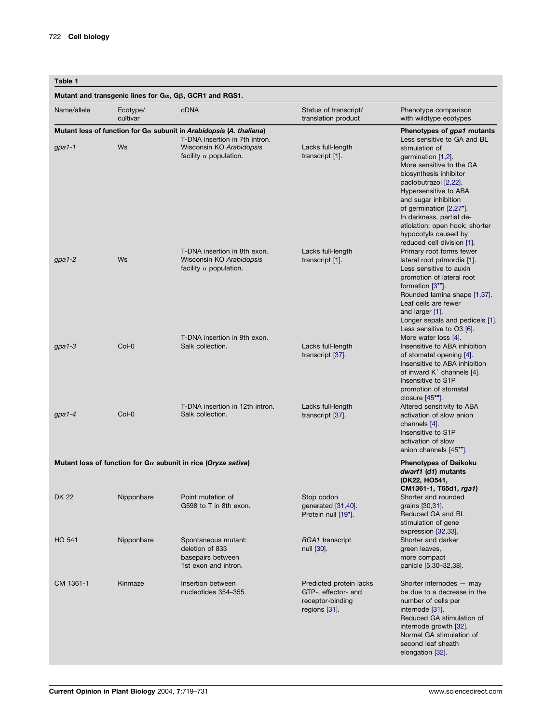<span id="page-3-0"></span>

| Table 1                                                                |                      |                                                                                             |                                                                                     |                                                                                                                                                                                                                                                                                                        |
|------------------------------------------------------------------------|----------------------|---------------------------------------------------------------------------------------------|-------------------------------------------------------------------------------------|--------------------------------------------------------------------------------------------------------------------------------------------------------------------------------------------------------------------------------------------------------------------------------------------------------|
| Mutant and transgenic lines for $G\alpha$ , G $\beta$ , GCR1 and RGS1. |                      |                                                                                             |                                                                                     |                                                                                                                                                                                                                                                                                                        |
| Name/allele                                                            | Ecotype/<br>cultivar | cDNA                                                                                        | Status of transcript/<br>translation product                                        | Phenotype comparison<br>with wildtype ecotypes                                                                                                                                                                                                                                                         |
|                                                                        |                      | Mutant loss of function for $G\alpha$ subunit in Arabidopsis (A. thaliana)                  |                                                                                     | Phenotypes of gpa1 mutants                                                                                                                                                                                                                                                                             |
| $g$ pa1-1                                                              | Ws                   | T-DNA insertion in 7th intron.<br>Wisconsin KO Arabidopsis<br>facility $\alpha$ population. | Lacks full-length<br>transcript [1].                                                | Less sensitive to GA and BL<br>stimulation of<br>germination [1,2].<br>More sensitive to the GA<br>biosynthesis inhibitor<br>paclobutrazol [2,22].<br>Hypersensitive to ABA<br>and sugar inhibition<br>of germination $[2,27^{\circ}]$ .<br>In darkness, partial de-<br>etiolation: open hook; shorter |
| $g$ pa1-2                                                              | Ws                   | T-DNA insertion in 8th exon.<br>Wisconsin KO Arabidopsis<br>facility $\alpha$ population.   | Lacks full-length<br>transcript [1].                                                | hypocotyls caused by<br>reduced cell division [1].<br>Primary root forms fewer<br>lateral root primordia [1].<br>Less sensitive to auxin<br>promotion of lateral root<br>formation $[3^{\bullet\bullet}].$<br>Rounded lamina shape [1,37].<br>Leaf cells are fewer<br>and larger [1].                  |
| $g$ pa1-3                                                              | $Col-0$              | T-DNA insertion in 9th exon.<br>Salk collection.                                            | Lacks full-length<br>transcript [37].                                               | Longer sepals and pedicels [1].<br>Less sensitive to O3 [6].<br>More water loss [4].<br>Insensitive to ABA inhibition<br>of stomatal opening [4].<br>Insensitive to ABA inhibition<br>of inward $K^+$ channels [4].<br>Insensitive to S1P<br>promotion of stomatal                                     |
| $g$ pa1-4                                                              | Col-0                | T-DNA insertion in 12th intron.<br>Salk collection.                                         | Lacks full-length<br>transcript [37].                                               | closure [45*].<br>Altered sensitivity to ABA<br>activation of slow anion<br>channels [4].<br>Insensitive to S1P<br>activation of slow<br>anion channels [45*].                                                                                                                                         |
|                                                                        |                      | Mutant loss of function for $G_{\alpha}$ subunit in rice (Oryza sativa)                     |                                                                                     | <b>Phenotypes of Daikoku</b><br>dwarf1 (d1) mutants<br>(DK22, HO541,                                                                                                                                                                                                                                   |
| DK 22                                                                  | Nipponbare           | Point mutation of<br>G598 to T in 8th exon.                                                 | Stop codon<br>generated [31,40].<br>Protein null [19°].                             | CM1361-1, T65d1, rga1)<br>Shorter and rounded<br>grains [30,31].<br>Reduced GA and BL<br>stimulation of gene<br>expression [32,33].                                                                                                                                                                    |
| HO 541                                                                 | Nipponbare           | Spontaneous mutant:<br>deletion of 833<br>basepairs between<br>1st exon and intron.         | RGA1 transcript<br>null [30].                                                       | Shorter and darker<br>green leaves,<br>more compact<br>panicle [5,30-32,38].                                                                                                                                                                                                                           |
| CM 1361-1                                                              | Kinmaze              | Insertion between<br>nucleotides 354-355.                                                   | Predicted protein lacks<br>GTP-, effector- and<br>receptor-binding<br>regions [31]. | Shorter internodes - may<br>be due to a decrease in the<br>number of cells per<br>internode [31].<br>Reduced GA stimulation of<br>internode growth [32].<br>Normal GA stimulation of<br>second leaf sheath                                                                                             |

elongation [\[32\]](#page-11-0).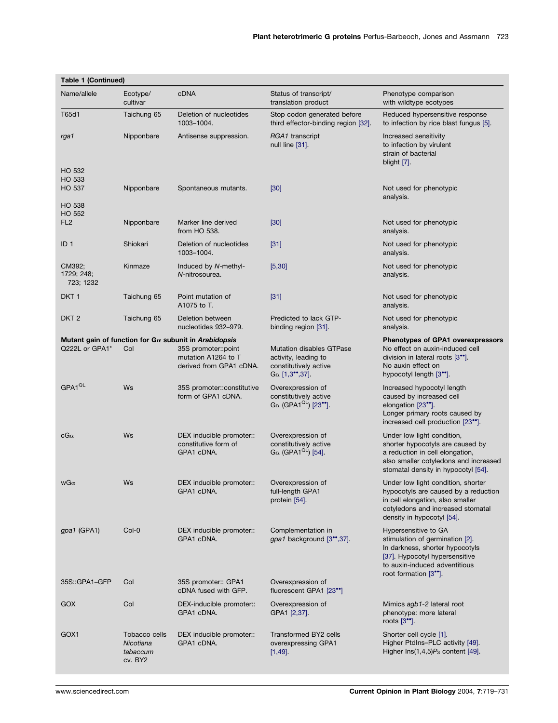| <b>Table 1 (Continued)</b>                        |                                                   |                                                                                                                                       |                                                                                                                      |                                                                                                                                                                                        |  |
|---------------------------------------------------|---------------------------------------------------|---------------------------------------------------------------------------------------------------------------------------------------|----------------------------------------------------------------------------------------------------------------------|----------------------------------------------------------------------------------------------------------------------------------------------------------------------------------------|--|
| Name/allele                                       | Ecotype/<br>cultivar                              | cDNA                                                                                                                                  | Status of transcript/<br>translation product                                                                         | Phenotype comparison<br>with wildtype ecotypes                                                                                                                                         |  |
| T65d1                                             | Taichung 65                                       | Deletion of nucleotides<br>1003-1004.                                                                                                 | Stop codon generated before<br>third effector-binding region [32].                                                   | Reduced hypersensitive response<br>to infection by rice blast fungus [5].                                                                                                              |  |
| rga1                                              | Nipponbare                                        | Antisense suppression.                                                                                                                | RGA1 transcript<br>null line [31].                                                                                   | Increased sensitivity<br>to infection by virulent<br>strain of bacterial<br>blight [7].                                                                                                |  |
| <b>HO 532</b><br>HO 533<br><b>HO 537</b>          | Nipponbare                                        | Spontaneous mutants.                                                                                                                  | [30]                                                                                                                 | Not used for phenotypic<br>analysis.                                                                                                                                                   |  |
| <b>HO 538</b><br><b>HO 552</b><br>FL <sub>2</sub> | Nipponbare                                        | Marker line derived<br>from HO 538.                                                                                                   | [30]                                                                                                                 | Not used for phenotypic<br>analysis.                                                                                                                                                   |  |
| ID <sub>1</sub>                                   | Shiokari                                          | Deletion of nucleotides<br>1003-1004.                                                                                                 | $[31]$                                                                                                               | Not used for phenotypic<br>analysis.                                                                                                                                                   |  |
| CM392;<br>1729; 248;<br>723; 1232                 | Kinmaze                                           | Induced by N-methyl-<br>N-nitrosourea.                                                                                                | [5, 30]                                                                                                              | Not used for phenotypic<br>analysis.                                                                                                                                                   |  |
| DKT <sub>1</sub>                                  | Taichung 65                                       | Point mutation of<br>A1075 to T.                                                                                                      | $[31]$                                                                                                               | Not used for phenotypic<br>analysis.                                                                                                                                                   |  |
| DKT <sub>2</sub>                                  | Taichung 65                                       | Deletion between<br>nucleotides 932-979.                                                                                              | Predicted to lack GTP-<br>binding region [31].                                                                       | Not used for phenotypic<br>analysis.                                                                                                                                                   |  |
| Q222L or GPA1*                                    | Col                                               | Mutant gain of function for $G\alpha$ subunit in Arabidopsis<br>35S promoter::point<br>mutation A1264 to T<br>derived from GPA1 cDNA. | <b>Mutation disables GTPase</b><br>activity, leading to<br>constitutively active<br>$Ga [1,3^{\bullet\bullet},37]$ . | <b>Phenotypes of GPA1 overexpressors</b><br>No effect on auxin-induced cell<br>division in lateral roots $[3^{\bullet\bullet}].$<br>No auxin effect on<br>hypocotyl length [3**].      |  |
| GPA1 <sup>QL</sup>                                | Ws                                                | 35S promoter::constitutive<br>form of GPA1 cDNA.                                                                                      | Overexpression of<br>constitutively active<br>$Ga (GPA1^{OL})$ [23 <sup>•</sup> ].                                   | Increased hypocotyl length<br>caused by increased cell<br>elongation $[23^{\bullet\bullet}].$<br>Longer primary roots caused by<br>increased cell production [23 <sup>**</sup> ].      |  |
| $cG\alpha$                                        | Ws                                                | DEX inducible promoter::<br>constitutive form of<br>GPA1 cDNA.                                                                        | Overexpression of<br>constitutively active<br>$Ga (GPA1^{QL})$ [54].                                                 | Under low light condition,<br>shorter hypocotyls are caused by<br>a reduction in cell elongation,<br>also smaller cotyledons and increased<br>stomatal density in hypocotyl [54].      |  |
| $wG\alpha$                                        | Ws                                                | DEX inducible promoter::<br>GPA1 cDNA.                                                                                                | Overexpression of<br>full-length GPA1<br>protein [54].                                                               | Under low light condition, shorter<br>hypocotyls are caused by a reduction<br>in cell elongation, also smaller<br>cotyledons and increased stomatal<br>density in hypocotyl [54].      |  |
| gpa1 (GPA1)                                       | Col-0                                             | DEX inducible promoter::<br>GPA1 cDNA.                                                                                                | Complementation in<br>gpa1 background [3*,37].                                                                       | Hypersensitive to GA<br>stimulation of germination [2].<br>In darkness, shorter hypocotyls<br>[37]. Hypocotyl hypersensitive<br>to auxin-induced adventitious<br>root formation [3**]. |  |
| 35S::GPA1-GFP                                     | Col                                               | 35S promoter:: GPA1<br>cDNA fused with GFP.                                                                                           | Overexpression of<br>fluorescent GPA1 [23**]                                                                         |                                                                                                                                                                                        |  |
| GOX                                               | Col                                               | DEX-inducible promoter::<br>GPA1 cDNA.                                                                                                | Overexpression of<br>GPA1 [2,37].                                                                                    | Mimics agb1-2 lateral root<br>phenotype: more lateral<br>roots $[3^{\bullet\bullet}]$ .                                                                                                |  |
| GOX <sub>1</sub>                                  | Tobacco cells<br>Nicotiana<br>tabaccum<br>cv. BY2 | DEX inducible promoter::<br>GPA1 cDNA.                                                                                                | <b>Transformed BY2 cells</b><br>overexpressing GPA1<br>$[1,49]$ .                                                    | Shorter cell cycle [1].<br>Higher PtdIns-PLC activity [49].<br>Higher $Ins(1,4,5)P_3$ content [49].                                                                                    |  |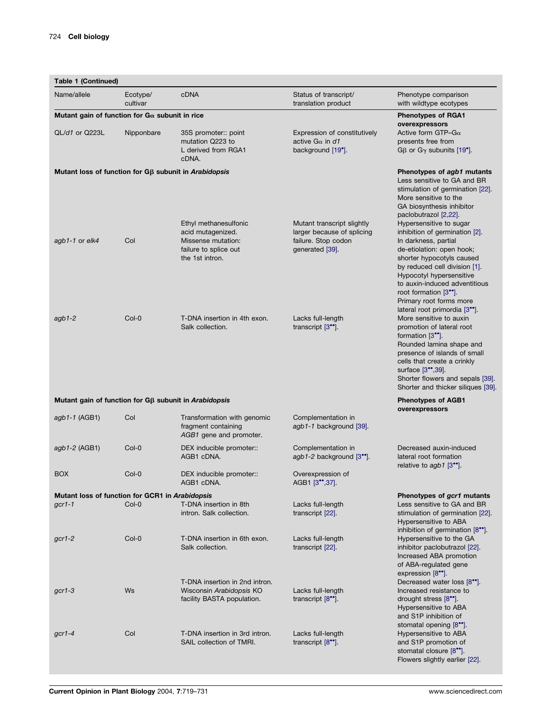| <b>Table 1 (Continued)</b>                                  |                      |                                                                                                              |                                                                                                    |                                                                                                                                                                                                                                                                                                                                                                                                                                                                                  |
|-------------------------------------------------------------|----------------------|--------------------------------------------------------------------------------------------------------------|----------------------------------------------------------------------------------------------------|----------------------------------------------------------------------------------------------------------------------------------------------------------------------------------------------------------------------------------------------------------------------------------------------------------------------------------------------------------------------------------------------------------------------------------------------------------------------------------|
| Name/allele                                                 | Ecotype/<br>cultivar | <b>cDNA</b>                                                                                                  | Status of transcript/<br>translation product                                                       | Phenotype comparison<br>with wildtype ecotypes                                                                                                                                                                                                                                                                                                                                                                                                                                   |
| Mutant gain of function for $G_{\alpha}$ subunit in rice    |                      |                                                                                                              |                                                                                                    | <b>Phenotypes of RGA1</b>                                                                                                                                                                                                                                                                                                                                                                                                                                                        |
| QL/d1 or Q223L                                              | Nipponbare           | 35S promoter:: point<br>mutation Q223 to<br>L derived from RGA1<br>cDNA.                                     | Expression of constitutively<br>active G $\alpha$ in d1<br>background [19°].                       | overexpressors<br>Active form GTP-G $\alpha$<br>presents free from<br>$G\beta$ or $G\gamma$ subunits [19°].                                                                                                                                                                                                                                                                                                                                                                      |
| Mutant loss of function for $G\beta$ subunit in Arabidopsis |                      |                                                                                                              |                                                                                                    | Phenotypes of agb1 mutants                                                                                                                                                                                                                                                                                                                                                                                                                                                       |
| agb1-1 or elk4                                              | Col                  | Ethyl methanesulfonic<br>acid mutagenized.<br>Missense mutation:<br>failure to splice out<br>the 1st intron. | Mutant transcript slightly<br>larger because of splicing<br>failure. Stop codon<br>generated [39]. | Less sensitive to GA and BR<br>stimulation of germination [22].<br>More sensitive to the<br>GA biosynthesis inhibitor<br>paclobutrazol [2,22].<br>Hypersensitive to sugar<br>inhibition of germination [2].<br>In darkness, partial<br>de-etiolation: open hook;<br>shorter hypocotyls caused<br>by reduced cell division [1].<br>Hypocotyl hypersensitive<br>to auxin-induced adventitious<br>root formation [3**].<br>Primary root forms more<br>lateral root primordia [3**]. |
| $agb1-2$                                                    | Col-0                | T-DNA insertion in 4th exon.<br>Salk collection.                                                             | Lacks full-length<br>transcript $[3^{\bullet\bullet}]$ .                                           | More sensitive to auxin<br>promotion of lateral root<br>formation $[3^{\bullet\bullet}].$<br>Rounded lamina shape and<br>presence of islands of small<br>cells that create a crinkly<br>surface [3**,39].<br>Shorter flowers and sepals [39].<br>Shorter and thicker siliques [39].                                                                                                                                                                                              |
| Mutant gain of function for Gβ subunit in Arabidopsis       |                      |                                                                                                              |                                                                                                    | <b>Phenotypes of AGB1</b><br>overexpressors                                                                                                                                                                                                                                                                                                                                                                                                                                      |
| agb1-1 (AGB1)                                               | Col                  | Transformation with genomic<br>fragment containing<br>AGB1 gene and promoter.                                | Complementation in<br>agb1-1 background [39].                                                      |                                                                                                                                                                                                                                                                                                                                                                                                                                                                                  |
| agb1-2 (AGB1)                                               | Col-0                | DEX inducible promoter::<br>AGB1 cDNA.                                                                       | Complementation in<br>agb1-2 background [3"].                                                      | Decreased auxin-induced<br>lateral root formation<br>relative to agb1 [3**].                                                                                                                                                                                                                                                                                                                                                                                                     |
| <b>BOX</b>                                                  | Col-0                | DEX inducible promoter::<br>AGB1 CDNA.                                                                       | Overexpression of<br>AGB1 [3 , 37].                                                                |                                                                                                                                                                                                                                                                                                                                                                                                                                                                                  |
| Mutant loss of function for GCR1 in Arabidopsis             |                      |                                                                                                              |                                                                                                    | Phenotypes of gcr1 mutants                                                                                                                                                                                                                                                                                                                                                                                                                                                       |
| $gcr1-1$                                                    | Col-0                | T-DNA insertion in 8th<br>intron. Salk collection.                                                           | Lacks full-length<br>transcript [22].                                                              | Less sensitive to GA and BR<br>stimulation of germination [22].<br>Hypersensitive to ABA<br>inhibition of germination $[8^{\bullet\bullet}].$                                                                                                                                                                                                                                                                                                                                    |
| $gcr1-2$                                                    | Col-0                | T-DNA insertion in 6th exon.<br>Salk collection.                                                             | Lacks full-length<br>transcript [22].                                                              | Hypersensitive to the GA<br>inhibitor paclobutrazol [22].<br>Increased ABA promotion<br>of ABA-regulated gene<br>expression [8**].                                                                                                                                                                                                                                                                                                                                               |
| $gcr1-3$                                                    | Ws                   | T-DNA insertion in 2nd intron.<br>Wisconsin Arabidopsis KO<br>facility BASTA population.                     | Lacks full-length<br>transcript $[8^{\bullet\bullet}].$                                            | Decreased water loss [8**].<br>Increased resistance to<br>drought stress [8**].<br>Hypersensitive to ABA<br>and S1P inhibition of<br>stomatal opening [8**].                                                                                                                                                                                                                                                                                                                     |
| $gcr1-4$                                                    | Col                  | T-DNA insertion in 3rd intron.<br>SAIL collection of TMRI.                                                   | Lacks full-length<br>transcript $[8^{\bullet\bullet}].$                                            | Hypersensitive to ABA<br>and S1P promotion of<br>stomatal closure [8**].<br>Flowers slightly earlier [22].                                                                                                                                                                                                                                                                                                                                                                       |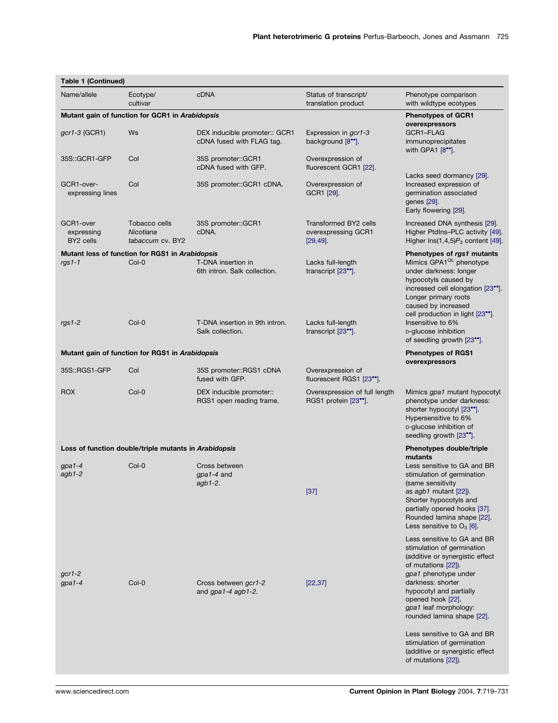| <b>Table 1 (Continued)</b>                       |                                                            |                                                            |                                                                     |                                                                                                                                                                                                                                                                                                                                                                         |
|--------------------------------------------------|------------------------------------------------------------|------------------------------------------------------------|---------------------------------------------------------------------|-------------------------------------------------------------------------------------------------------------------------------------------------------------------------------------------------------------------------------------------------------------------------------------------------------------------------------------------------------------------------|
| Name/allele                                      | Ecotype/<br>cultivar                                       | cDNA                                                       | Status of transcript/<br>translation product                        | Phenotype comparison<br>with wildtype ecotypes                                                                                                                                                                                                                                                                                                                          |
|                                                  | Mutant gain of function for GCR1 in Arabidopsis            |                                                            |                                                                     | <b>Phenotypes of GCR1</b>                                                                                                                                                                                                                                                                                                                                               |
| gcr1-3 (GCR1)                                    | Ws                                                         | DEX inducible promoter:: GCR1<br>cDNA fused with FLAG tag. | Expression in gcr1-3<br>background [8 <sup>••</sup> ].              | overexpressors<br>GCR1-FLAG<br>immunoprecipitates<br>with GPA1 $[8^{\bullet\bullet}]$ .                                                                                                                                                                                                                                                                                 |
| 35S::GCR1-GFP                                    | Col                                                        | 35S promoter::GCR1<br>cDNA fused with GFP.                 | Overexpression of<br>fluorescent GCR1 [22].                         |                                                                                                                                                                                                                                                                                                                                                                         |
| GCR1-over-<br>expressing lines                   | Col                                                        | 35S promoter::GCR1 cDNA.                                   | Overexpression of<br>GCR1 [29].                                     | Lacks seed dormancy [29].<br>Increased expression of<br>germination associated<br>genes [29].<br>Early flowering [29].                                                                                                                                                                                                                                                  |
| GCR1-over<br>expressing<br>BY <sub>2</sub> cells | Tobacco cells<br>Nicotiana<br>tabaccum cv. BY2             | 35S promoter::GCR1<br>cDNA.                                | <b>Transformed BY2 cells</b><br>overexpressing GCR1<br>$[29, 49]$ . | Increased DNA synthesis [29].<br>Higher PtdIns-PLC activity [49].<br>Higher $Ins(1,4,5)P_3$ content [49].                                                                                                                                                                                                                                                               |
| $rgs1-1$                                         | Mutant loss of function for RGS1 in Arabidopsis<br>$Col-0$ | T-DNA insertion in<br>6th intron. Salk collection.         | Lacks full-length<br>transcript [23**].                             | Phenotypes of rgs1 mutants<br>Mimics GPA1 <sup>QL</sup> phenotype<br>under darkness: longer<br>hypocotyls caused by<br>increased cell elongation [23*].<br>Longer primary roots<br>caused by increased<br>cell production in light [23 <sup>**</sup> ].                                                                                                                 |
| $rgs1-2$                                         | Col-0                                                      | T-DNA insertion in 9th intron.<br>Salk collection.         | Lacks full-length<br>transcript [23 <sup>*</sup> ].                 | Insensitive to 6%<br>D-glucose inhibition<br>of seedling growth [23*].                                                                                                                                                                                                                                                                                                  |
|                                                  | Mutant gain of function for RGS1 in Arabidopsis            |                                                            |                                                                     | <b>Phenotypes of RGS1</b><br>overexpressors                                                                                                                                                                                                                                                                                                                             |
| 35S::RGS1-GFP                                    | Col                                                        | 35S promoter::RGS1 cDNA<br>fused with GFP.                 | Overexpression of<br>fluorescent RGS1 [23**].                       |                                                                                                                                                                                                                                                                                                                                                                         |
| <b>ROX</b>                                       | Col-0                                                      | DEX inducible promoter::<br>RGS1 open reading frame.       | Overexpression of full length<br>RGS1 protein [23**].               | Mimics gpa1 mutant hypocotyl<br>phenotype under darkness:<br>shorter hypocotyl [23 <sup>*</sup> ].<br>Hypersensitive to 6%<br>D-glucose inhibition of<br>seedling growth [23**].                                                                                                                                                                                        |
|                                                  | Loss of function double/triple mutants in Arabidopsis      |                                                            |                                                                     | Phenotypes double/triple<br>mutants                                                                                                                                                                                                                                                                                                                                     |
| $g$ pa1-4<br>$agb1-2$                            | Col-0                                                      | Cross between<br>gpa1-4 and<br>$agb1-2.$                   | $[37]$                                                              | Less sensitive to GA and BR<br>stimulation of germination<br>(same sensitivity<br>as $agb1$ mutant $[22]$ ).<br>Shorter hypocotyls and<br>partially opened hooks [37].<br>Rounded lamina shape [22].<br>Less sensitive to $O_3$ [6].                                                                                                                                    |
| $gcr1-2$<br>$g$ pa1-4                            | Col-0                                                      | Cross between gcr1-2<br>and gpa1-4 agb1-2.                 | [22, 37]                                                            | Less sensitive to GA and BR<br>stimulation of germination<br>(additive or synergistic effect<br>of mutations [22]).<br>gpa1 phenotype under<br>darkness: shorter<br>hypocotyl and partially<br>opened hook [22].<br>gpa1 leaf morphology:<br>rounded lamina shape [22].<br>Less sensitive to GA and BR<br>stimulation of germination<br>(additive or synergistic effect |

of mutations [\[22\]\)](#page-11-0).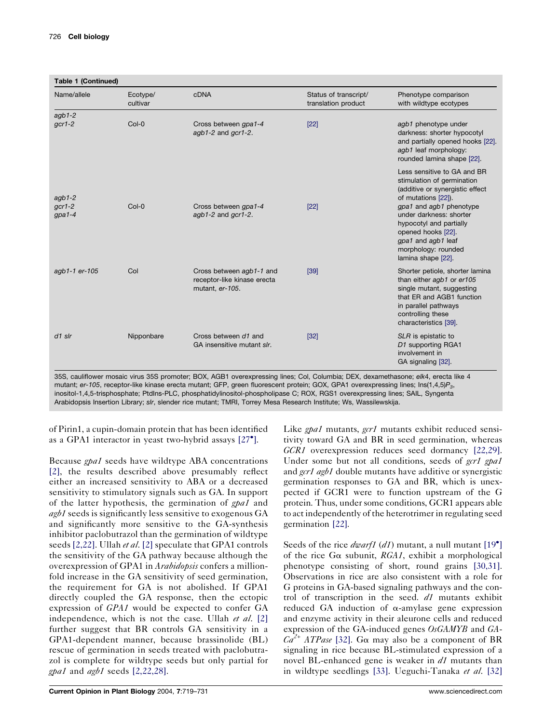| Name/allele                       | Ecotype/<br>cultivar | <b>cDNA</b>                                                                | Status of transcript/<br>translation product | Phenotype comparison<br>with wildtype ecotypes                                                                                                                                                |
|-----------------------------------|----------------------|----------------------------------------------------------------------------|----------------------------------------------|-----------------------------------------------------------------------------------------------------------------------------------------------------------------------------------------------|
| $agb1-2$                          |                      |                                                                            |                                              |                                                                                                                                                                                               |
| $gcr1-2$                          | $Col-0$              | Cross between gpa1-4<br>$agb1-2$ and $gcr1-2$ .                            | [22]                                         | agb1 phenotype under<br>darkness: shorter hypocotyl<br>and partially opened hooks [22].<br>agb1 leaf morphology:<br>rounded lamina shape [22].                                                |
|                                   |                      |                                                                            |                                              | Less sensitive to GA and BR<br>stimulation of germination<br>(additive or synergistic effect                                                                                                  |
| $agb1-2$<br>$gcr1-2$<br>$g$ pa1-4 | $Col-0$              | Cross between gpa1-4<br>$aqb1-2$ and $qcr1-2$ .                            | [22]                                         | of mutations [22]).<br>gpa1 and agb1 phenotype<br>under darkness: shorter<br>hypocotyl and partially<br>opened hooks [22].<br>gpa1 and agb1 leaf<br>morphology: rounded<br>lamina shape [22]. |
| agb1-1 er-105                     | Col                  | Cross between agb1-1 and<br>receptor-like kinase erecta<br>mutant, er-105. | $[39]$                                       | Shorter petiole, shorter lamina<br>than either agb1 or er105<br>single mutant, suggesting<br>that ER and AGB1 function<br>in parallel pathways<br>controlling these<br>characteristics [39].  |
| $d1$ slr                          | Nipponbare           | Cross between d1 and<br>GA insensitive mutant slr.                         | $[32]$                                       | SLR is epistatic to<br>D1 supporting RGA1<br>involvement in<br>GA signaling [32].                                                                                                             |

mutant; er-105, receptor-like kinase erecta mutant; GFP, green fluorescent protein; GOX, GPA1 overexpressing lines; Ins(1,4,5)P3, inositol-1,4,5-trisphosphate; PtdIns-PLC, phosphatidylinositol-phospholipase C; ROX, RGS1 overexpressing lines; SAIL, Syngenta Arabidopsis Insertion Library; slr, slender rice mutant; TMRI, Torrey Mesa Research Institute; Ws, Wassilewskija.

of Pirin1, a cupin-domain protein that has been identified as a GPA1 interactor in yeast two-hybrid assays [\[27](#page-11-0) [\].](#page-11-0)

Because gpa1 seeds have wildtype ABA concentrations [\[2\],](#page-10-0) the results described above presumably reflect either an increased sensitivity to ABA or a decreased sensitivity to stimulatory signals such as GA. In support of the latter hypothesis, the germination of gpal and agb1 seeds is significantly less sensitive to exogenous GA and significantly more sensitive to the GA-synthesis inhibitor paclobutrazol than the germination of wildtype seeds [\[2,22\]](#page-10-0). Ullah *et al.* [\[2\]](#page-10-0) speculate that GPA1 controls the sensitivity of the GA pathway because although the overexpression of GPA1 in *Arabidopsis* confers a millionfold increase in the GA sensitivity of seed germination, the requirement for GA is not abolished. If GPA1 directly coupled the GA response, then the ectopic expression of GPA1 would be expected to confer GA independence, which is not the case. Ullah et al. [\[2\]](#page-10-0) further suggest that BR controls GA sensitivity in a GPA1-dependent manner, because brassinolide (BL) rescue of germination in seeds treated with paclobutrazol is complete for wildtype seeds but only partial for gpa1 and  $a$ gb1 seeds  $[2,22,28]$ .

Like gpa1 mutants, gcr1 mutants exhibit reduced sensitivity toward GA and BR in seed germination, whereas GCR1 overexpression reduces seed dormancy [\[22,29\].](#page-11-0) Under some but not all conditions, seeds of gcr1 gpa1 and gcr1 agb1 double mutants have additive or synergistic germination responses to GA and BR, which is unexpected if GCR1 were to function upstream of the G protein. Thus, under some conditions, GCR1 appears able to act independently of the heterotrimer in regulating seed germination [\[22\]](#page-11-0).

Seeds of the rice *dwarf1* (*d1*) mutant, a null mutant  $[19^{\circ}]$  $[19^{\circ}]$  $[19^{\circ}]$ of the rice G $\alpha$  subunit, RGA1, exhibit a morphological phenotype consisting of short, round grains [\[30,31\].](#page-11-0) Observations in rice are also consistent with a role for G proteins in GA-based signaling pathways and the control of transcription in the seed.  $d1$  mutants exhibit reduced GA induction of  $\alpha$ -amylase gene expression and enzyme activity in their aleurone cells and reduced expression of the GA-induced genes OsGAMYB and GA- $Ca^{2+}$  ATPase [\[32\].](#page-11-0) Go may also be a component of BR signaling in rice because BL-stimulated expression of a novel BL-enhanced gene is weaker in  $d1$  mutants than in wildtype seedlings [\[33\]](#page-11-0). Ueguchi-Tanaka et al. [\[32\]](#page-11-0)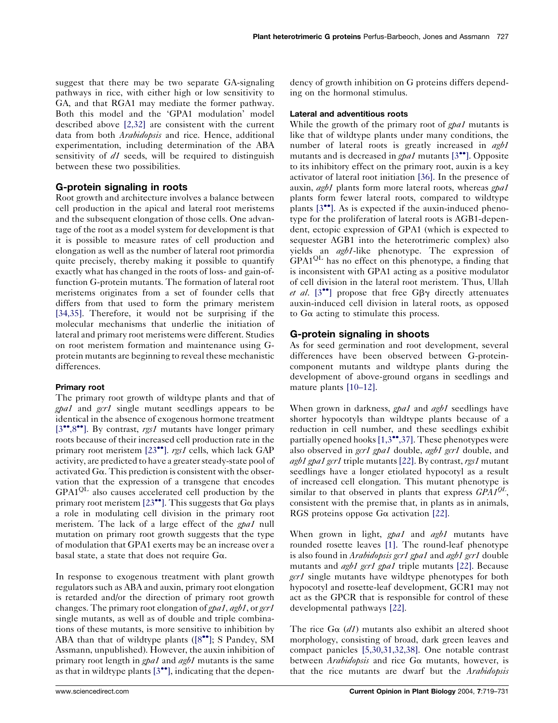suggest that there may be two separate GA-signaling pathways in rice, with either high or low sensitivity to GA, and that RGA1 may mediate the former pathway. Both this model and the 'GPA1 modulation' model described above [\[2,32\]](#page-10-0) are consistent with the current data from both *Arabidopsis* and rice. Hence, additional experimentation, including determination of the ABA sensitivity of d1 seeds, will be required to distinguish between these two possibilities.

# G-protein signaling in roots

Root growth and architecture involves a balance between cell production in the apical and lateral root meristems and the subsequent elongation of those cells. One advantage of the root as a model system for development is that it is possible to measure rates of cell production and elongation as well as the number of lateral root primordia quite precisely, thereby making it possible to quantify exactly what has changed in the roots of loss- and gain-offunction G-protein mutants. The formation of lateral root meristems originates from a set of founder cells that differs from that used to form the primary meristem [\[34,35\]](#page-11-0). Therefore, it would not be surprising if the molecular mechanisms that underlie the initiation of lateral and primary root meristems were different. Studies on root meristem formation and maintenance using Gprotein mutants are beginning to reveal these mechanistic differences.

### Primary root

The primary root growth of wildtype plants and that of gpal and gcrl single mutant seedlings appears to be identical in the absence of exogenous hormone treatment [ $3^{\bullet\bullet}$ , $8^{\bullet\bullet}$ [\].](#page-10-0) By contrast, rgs1 mutants have longer primary roots because of their increased cell production rate in the primary root meristem  $[23^{\bullet\bullet}]$  $[23^{\bullet\bullet}]$  $[23^{\bullet\bullet}]$ . rgs1 cells, which lack GAP activity, are predicted to have a greater steady-state pool of activated Ga. This prediction is consistent with the observation that the expression of a transgene that encodes GPA1<sup>QL</sup> also causes accelerated cell production by the primary root meristem  $[23^{\bullet\bullet}]$  $[23^{\bullet\bullet}]$ . This suggests that G $\alpha$  plays a role in modulating cell division in the primary root meristem. The lack of a large effect of the gpal null mutation on primary root growth suggests that the type of modulation that GPA1 exerts may be an increase over a basal state, a state that does not require  $G\alpha$ .

In response to exogenous treatment with plant growth regulators such as ABA and auxin, primary root elongation is retarded and/or the direction of primary root growth changes. The primary root elongation of  $gpa1$ ,  $agb1$ , or  $gcr1$ single mutants, as well as of double and triple combinations of these mutants, is more sensitive to inhibition by ABA than that of wildtype plants ( $[8\bullet\bullet]$  $[8\bullet\bullet]$ ; S Pandey, SM Assmann, unpublished). However, the auxin inhibition of primary root length in gpa1 and agb1 mutants is the same as that in wildtype plants  $[3^{\bullet\bullet}]$  $[3^{\bullet\bullet}]$  $[3^{\bullet\bullet}]$ , indicating that the dependency of growth inhibition on G proteins differs depending on the hormonal stimulus.

### Lateral and adventitious roots

While the growth of the primary root of  $\varphi$  mutants is like that of wildtype plants under many conditions, the number of lateral roots is greatly increased in agb1 mutants and is decreased in  $\varrho$ *pa1* mutants [\[3](#page-10-0)<sup>••</sup>[\].](#page-10-0) Opposite to its inhibitory effect on the primary root, auxin is a key activator of lateral root initiation [\[36\]](#page-11-0). In the presence of auxin, *agb1* plants form more lateral roots, whereas *gpa1* plants form fewer lateral roots, compared to wildtype plants  $[3^{\bullet\bullet}]$  $[3^{\bullet\bullet}]$  $[3^{\bullet\bullet}]$ . As is expected if the auxin-induced phenotype for the proliferation of lateral roots is AGB1-dependent, ectopic expression of GPA1 (which is expected to sequester AGB1 into the heterotrimeric complex) also yields an *agb1*-like phenotype. The expression of  $GPA1^{QL}$  has no effect on this phenotype, a finding that is inconsistent with GPA1 acting as a positive modulator of cell division in the lateral root meristem. Thus, Ullah et al.  $[3^{\bullet\bullet}]$  $[3^{\bullet\bullet}]$  $[3^{\bullet\bullet}]$  propose that free  $G\beta\gamma$  directly attenuates auxin-induced cell division in lateral roots, as opposed to  $G\alpha$  acting to stimulate this process.

# G-protein signaling in shoots

As for seed germination and root development, several differences have been observed between G-proteincomponent mutants and wildtype plants during the development of above-ground organs in seedlings and mature plants [\[10–12\].](#page-11-0)

When grown in darkness, gpal and agbl seedlings have shorter hypocotyls than wildtype plants because of a reduction in cell number, and these seedlings exhibit partially opened hooks  $[1,3^{\bullet\bullet},37]$  $[1,3^{\bullet\bullet},37]$ . These phenotypes were also observed in gcr1 gpa1 double, agb1 gcr1 double, and agb1 gpa1 gcr1 triple mutants [\[22\].](#page-11-0) By contrast, rgs1 mutant seedlings have a longer etiolated hypocotyl as a result of increased cell elongation. This mutant phenotype is similar to that observed in plants that express  $GPA1^{QL}$ , consistent with the premise that, in plants as in animals, RGS proteins oppose  $G\alpha$  activation [\[22\]](#page-11-0).

When grown in light, gpal and agbl mutants have rounded rosette leaves [\[1\]](#page-10-0). The round-leaf phenotype is also found in Arabidopsis gcr1 gpa1 and agb1 gcr1 double mutants and *agb1 gcr1 gpa1* triple mutants [\[22\].](#page-11-0) Because gcr1 single mutants have wildtype phenotypes for both hypocotyl and rosette-leaf development, GCR1 may not act as the GPCR that is responsible for control of these developmental pathways [\[22\].](#page-11-0)

The rice  $G\alpha$  (*d1*) mutants also exhibit an altered shoot morphology, consisting of broad, dark green leaves and compact panicles [\[5,30,31,32,38\].](#page-10-0) One notable contrast between Arabidopsis and rice Go mutants, however, is that the rice mutants are dwarf but the Arabidopsis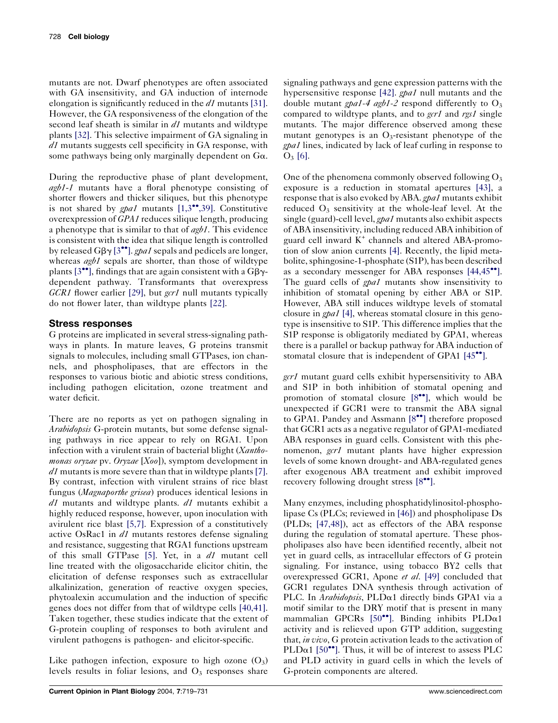mutants are not. Dwarf phenotypes are often associated with GA insensitivity, and GA induction of internode elongation is significantly reduced in the d1 mutants [\[31\].](#page-11-0) However, the GA responsiveness of the elongation of the second leaf sheath is similar in  $d1$  mutants and wildtype plants [\[32\]](#page-11-0). This selective impairment of GA signaling in  $d1$  mutants suggests cell specificity in GA response, with some pathways being only marginally dependent on Ga.

During the reproductive phase of plant development, agb1-1 mutants have a floral phenotype consisting of shorter flowers and thicker siliques, but this phenotype is not shared by gpa1 mutants  $[1,3^{\bullet\bullet},39]$  $[1,3^{\bullet\bullet},39]$  $[1,3^{\bullet\bullet},39]$ . Constitutive overexpression of GPA1 reduces silique length, producing a phenotype that is similar to that of  $agb1$ . This evidence is consistent with the idea that silique length is controlled by released G $\beta \gamma$  [\[3](#page-10-0)<sup>\*\*</sup>[\].](#page-10-0) gpa1 sepals and pedicels are longer, whereas *agb1* sepals are shorter, than those of wildtype plants [\[3](#page-10-0)<sup>\*\*</sup>[\],](#page-10-0) findings that are again consistent with a  $G\beta\gamma$ dependent pathway. Transformants that overexpress  $GCR1$  flower earlier [\[29\],](#page-11-0) but gcr1 null mutants typically do not flower later, than wildtype plants [\[22\].](#page-11-0)

# Stress responses

G proteins are implicated in several stress-signaling pathways in plants. In mature leaves, G proteins transmit signals to molecules, including small GTPases, ion channels, and phospholipases, that are effectors in the responses to various biotic and abiotic stress conditions, including pathogen elicitation, ozone treatment and water deficit.

There are no reports as yet on pathogen signaling in Arabidopsis G-protein mutants, but some defense signaling pathways in rice appear to rely on RGA1. Upon infection with a virulent strain of bacterial blight  $(Xantho$ monas oryzae pv. Oryzae [Xoo]), symptom development in  $d1$  mutants is more severe than that in wildtype plants [\[7\].](#page-10-0) By contrast, infection with virulent strains of rice blast fungus (Magnaporthe grisea) produces identical lesions in  $d1$  mutants and wildtype plants.  $d1$  mutants exhibit a highly reduced response, however, upon inoculation with avirulent rice blast [\[5,7\]](#page-10-0). Expression of a constitutively active OsRac1 in  $d1$  mutants restores defense signaling and resistance, suggesting that RGA1 functions upstream of this small GTPase [\[5\]](#page-10-0). Yet, in a  $d1$  mutant cell line treated with the oligosaccharide elicitor chitin, the elicitation of defense responses such as extracellular alkalinization, generation of reactive oxygen species, phytoalexin accumulation and the induction of specific genes does not differ from that of wildtype cells [\[40,41\].](#page-11-0) Taken together, these studies indicate that the extent of G-protein coupling of responses to both avirulent and virulent pathogens is pathogen- and elicitor-specific.

Like pathogen infection, exposure to high ozone  $(O_3)$ levels results in foliar lesions, and  $O<sub>3</sub>$  responses share

signaling pathways and gene expression patterns with the hypersensitive response [\[42\].](#page-11-0) gpa1 null mutants and the double mutant gpa1-4 agb1-2 respond differently to  $O_3$ compared to wildtype plants, and to  $\varrho c r l$  and rgsl single mutants. The major difference observed among these mutant genotypes is an  $O_3$ -resistant phenotype of the gpa1 lines, indicated by lack of leaf curling in response to  $O_3$  [\[6\].](#page-10-0)

One of the phenomena commonly observed following  $O_3$ exposure is a reduction in stomatal apertures [\[43\],](#page-11-0) a response that is also evoked by ABA. gpa1 mutants exhibit reduced  $O_3$  sensitivity at the whole-leaf level. At the single (guard)-cell level, *gpa1* mutants also exhibit aspects of ABA insensitivity, including reduced ABA inhibition of guard cell inward  $K^+$  channels and altered ABA-promotion of slow anion currents [\[4\].](#page-10-0) Recently, the lipid metabolite, sphingosine-1-phosphate (S1P), has been described as a secondary messenger for ABA responses  $[44,45$ <sup> $\bullet$ </sup>. The guard cells of gpa1 mutants show insensitivity to inhibition of stomatal opening by either ABA or S1P. However, ABA still induces wildtype levels of stomatal closure in *gpa1* [\[4\]](#page-10-0), whereas stomatal closure in this genotype is insensitive to S1P. This difference implies that the S1P response is obligatorily mediated by GPA1, whereas there is a parallel or backup pathway for ABA induction of stomatal closure that is independent of GPA1  $[45$ <sup> $\degree$ </sup>[\].](#page-12-0)

gcr1 mutant guard cells exhibit hypersensitivity to ABA and S1P in both inhibition of stomatal opening and promotion of stomatal closure  $[8\bullet\bullet]$  $[8\bullet\bullet]$  $[8\bullet\bullet]$ , which would be unexpected if GCR1 were to transmit the ABA signal to GPA1. Pandey and Assmann  $[8\bullet]$  $[8\bullet]$  $[8\bullet]$  therefore proposed that GCR1 acts as a negative regulator of GPA1-mediated ABA responses in guard cells. Consistent with this phenomenon, *gcr1* mutant plants have higher expression levels of some known drought- and ABA-regulated genes after exogenous ABA treatment and exhibit improved recovery following drought stress  $[8\bullet$  $[8\bullet$ .

Many enzymes, including phosphatidylinositol-phospholipase Cs (PLCs; reviewed in [\[46\]\)](#page-12-0) and phospholipase Ds (PLDs; [\[47,48\]](#page-12-0)), act as effectors of the ABA response during the regulation of stomatal aperture. These phospholipases also have been identified recently, albeit not yet in guard cells, as intracellular effectors of G protein signaling. For instance, using tobacco BY2 cells that overexpressed GCR1, Apone et al. [\[49\]](#page-12-0) concluded that GCR1 regulates DNA synthesis through activation of PLC. In *Arabidopsis*,  $PLDa1$  directly binds GPA1 via a motif similar to the DRY motif that is present in many mammalian GPCRs [\[50](#page-12-0)<sup> $\bullet$ </sup>[\]](#page-12-0). Binding inhibits PLD $\alpha$ 1 activity and is relieved upon GTP addition, suggesting that, in vivo, G protein activation leads to the activation of PLD $\alpha$ 1 [\[50](#page-12-0)<sup> $\bullet$ </sup>[\].](#page-12-0) Thus, it will be of interest to assess PLC and PLD activity in guard cells in which the levels of G-protein components are altered.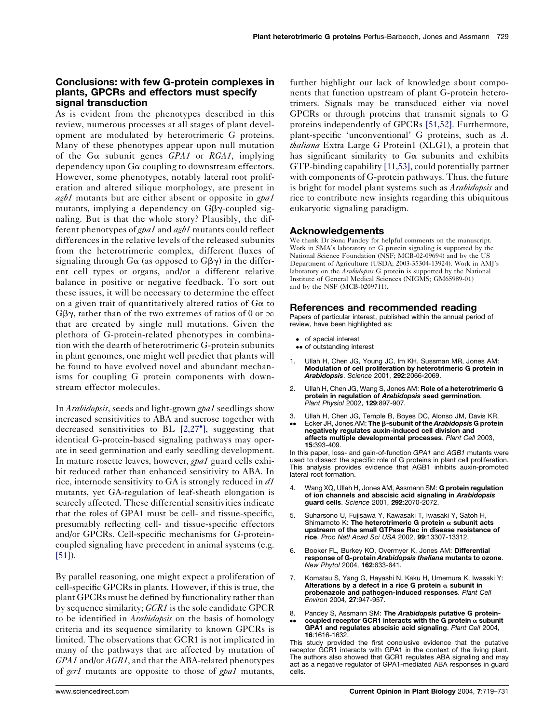# <span id="page-10-0"></span>Conclusions: with few G-protein complexes in plants, GPCRs and effectors must specify signal transduction

As is evident from the phenotypes described in this review, numerous processes at all stages of plant development are modulated by heterotrimeric G proteins. Many of these phenotypes appear upon null mutation of the G $\alpha$  subunit genes GPA1 or RGA1, implying dependency upon  $G\alpha$  coupling to downstream effectors. However, some phenotypes, notably lateral root proliferation and altered silique morphology, are present in agb1 mutants but are either absent or opposite in gpa1 mutants, implying a dependency on  $G\beta\gamma$ -coupled signaling. But is that the whole story? Plausibly, the different phenotypes of gpa1 and agb1 mutants could reflect differences in the relative levels of the released subunits from the heterotrimeric complex, different fluxes of signaling through G $\alpha$  (as opposed to G $\beta\gamma$ ) in the different cell types or organs, and/or a different relative balance in positive or negative feedback. To sort out these issues, it will be necessary to determine the effect on a given trait of quantitatively altered ratios of  $G\alpha$  to GB $\gamma$ , rather than of the two extremes of ratios of 0 or  $\infty$ that are created by single null mutations. Given the plethora of G-protein-related phenotypes in combination with the dearth of heterotrimeric G-protein subunits in plant genomes, one might well predict that plants will be found to have evolved novel and abundant mechanisms for coupling G protein components with downstream effector molecules.

In *Arabidopsis*, seeds and light-grown *gpa1* seedlings show increased sensitivities to ABA and sucrose together with decreased sensitivities to BL [2,27 ], suggesting that identical G-protein-based signaling pathways may operate in seed germination and early seedling development. In mature rosette leaves, however, gpa1 guard cells exhibit reduced rather than enhanced sensitivity to ABA. In rice, internode sensitivity to GA is strongly reduced in  $d1$ mutants, yet GA-regulation of leaf-sheath elongation is scarcely affected. These differential sensitivities indicate that the roles of GPA1 must be cell- and tissue-specific, presumably reflecting cell- and tissue-specific effectors and/or GPCRs. Cell-specific mechanisms for G-proteincoupled signaling have precedent in animal systems (e.g. [\[51\]\)](#page-12-0).

By parallel reasoning, one might expect a proliferation of cell-specific GPCRs in plants. However, if this is true, the plant GPCRs must be defined by functionality rather than by sequence similarity; GCR1 is the sole candidate GPCR to be identified in *Arabidopsis* on the basis of homology criteria and its sequence similarity to known GPCRs is limited. The observations that GCR1 is not implicated in many of the pathways that are affected by mutation of GPA1 and/or AGB1, and that the ABA-related phenotypes of gcr1 mutants are opposite to those of gpa1 mutants,

further highlight our lack of knowledge about components that function upstream of plant G-protein heterotrimers. Signals may be transduced either via novel GPCRs or through proteins that transmit signals to G proteins independently of GPCRs [\[51,52\]](#page-12-0). Furthermore, plant-specific 'unconventional' G proteins, such as A. thaliana Extra Large G Protein1 (XLG1), a protein that has significant similarity to  $G\alpha$  subunits and exhibits GTP-binding capability [\[11,53\]](#page-11-0), could potentially partner with components of G-protein pathways. Thus, the future is bright for model plant systems such as *Arabidopsis* and rice to contribute new insights regarding this ubiquitous eukaryotic signaling paradigm.

## Acknowledgements

We thank Dr Sona Pandey for helpful comments on the manuscript. Work in SMA's laboratory on G protein signaling is supported by the National Science Foundation (NSF; MCB-02-09694) and by the US Department of Agriculture (USDA; 2003-35304-13924). Work in AMJ's laboratory on the Arabidopsis G protein is supported by the National Institute of General Medical Sciences (NIGMS; GM65989-01) and by the NSF (MCB-0209711).

# References and recommended reading

Papers of particular interest, published within the annual period of review, have been highlighted as:

- of special interest
- •• of outstanding interest
- 1. Ullah H, Chen JG, Young JC, Im KH, Sussman MR, Jones AM: Modulation of cell proliferation by heterotrimeric G protein in Arabidopsis. Science 2001, 292:2066-2069.
- 2. Ullah H, Chen JG, Wang S, Jones AM: Role of a heterotrimeric G protein in regulation of Arabidopsis seed germination. Plant Physiol 2002, 129:897-907.
- 3. .. Ullah H, Chen JG, Temple B, Boyes DC, Alonso JM, Davis KR, Ecker JR, Jones AM: The  $\beta$ -subunit of the Arabidopsis G protein negatively regulates auxin-induced cell division and
- affects multiple developmental processes. Plant Cell 2003, 15:393-409.

In this paper, loss- and gain-of-function GPA1 and AGB1 mutants were used to dissect the specific role of G proteins in plant cell proliferation. This analysis provides evidence that AGB1 inhibits auxin-promoted lateral root formation.

- 4. Wang XQ, Ullah H, Jones AM, Assmann SM: G protein regulation of ion channels and abscisic acid signaling in Arabidopsis guard cells. Science 2001, 292:2070-2072.
- 5. Suharsono U, Fujisawa Y, Kawasaki T, Iwasaki Y, Satoh H, Shimamoto K: The heterotrimeric G protein  $\alpha$  subunit acts upstream of the small GTPase Rac in disease resistance of rice. Proc Natl Acad Sci USA 2002, 99:13307-13312.
- 6. Booker FL, Burkey KO, Overmyer K, Jones AM: Differential response of G-protein Arabidopsis thaliana mutants to ozone. New Phytol 2004, 162:633-641.
- 7. Komatsu S, Yang G, Hayashi N, Kaku H, Umemura K, Iwasaki Y: Alterations by a defect in a rice G protein  $\alpha$  subunit in probenazole and pathogen-induced responses. Plant Cell Environ 2004, 27:947-957.
- 8. .. Pandey S, Assmann SM: The Arabidopsis putative G proteincoupled receptor GCR1 interacts with the G protein  $\alpha$  subunit GPA1 and regulates abscisic acid signaling. Plant Cell 2004, 16:1616-1632.

This study provided the first conclusive evidence that the putative receptor GCR1 interacts with GPA1 in the context of the living plant. The authors also showed that GCR1 regulates ABA signaling and may act as a negative regulator of GPA1-mediated ABA responses in guard cells.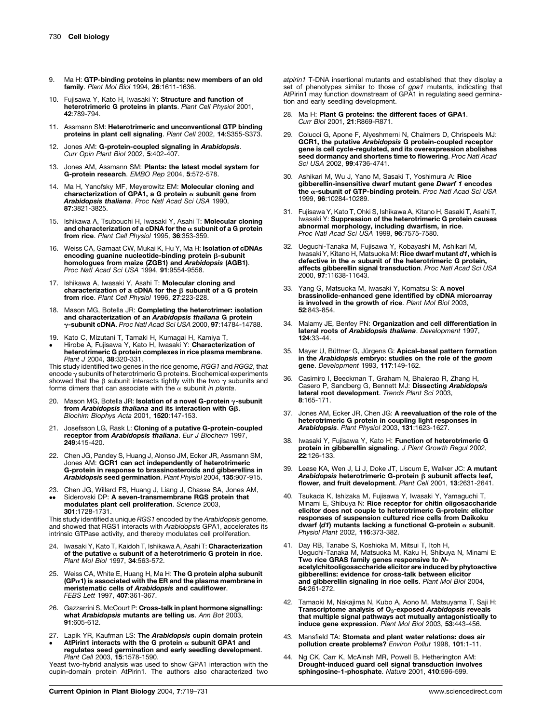- <span id="page-11-0"></span>9. Ma H: GTP-binding proteins in plants: new members of an old family. Plant Mol Biol 1994, 26:1611-1636.
- 10. Fujisawa Y, Kato H, Iwasaki Y: Structure and function of heterotrimeric G proteins in plants. Plant Cell Physiol 2001, 42:789-794.
- 11. Assmann SM: Heterotrimeric and unconventional GTP binding proteins in plant cell signaling. Plant Cell 2002, 14:S355-S373.
- 12. Jones AM: G-protein-coupled signaling in Arabidopsis. Curr Opin Plant Biol 2002, 5:402-407.
- 13. Jones AM, Assmann SM: Plants: the latest model system for G-protein research. EMBO Rep 2004, 5:572-578.
- 14. Ma H, Yanofsky MF, Meyerowitz EM: Molecular cloning and characterization of GPA1, a G protein  $\alpha$  subunit gene from Arabidopsis thaliana. Proc Natl Acad Sci USA 1990, 87:3821-3825.
- 15. Ishikawa A, Tsubouchi H, Iwasaki Y, Asahi T: Molecular cloning and characterization of a cDNA for the  $\alpha$  subunit of a G protein from rice. Plant Cell Physiol 1995, 36:353-359.
- 16. Weiss CA, Garnaat CW, Mukai K, Hu Y, Ma H: Isolation of cDNAs encoding guanine nucleotide-binding protein  $\beta$ -subunit homologues from maize (ZGB1) and Arabidopsis (AGB1). Proc Natl Acad Sci USA 1994, 91:9554-9558.
- 17. Ishikawa A, Iwasaki Y, Asahi T: Molecular cloning and characterization of a cDNA for the  $\beta$  subunit of a G protein from rice. Plant Cell Physiol 1996, 27:223-228.
- 18. Mason MG, Botella JR: Completing the heterotrimer: isolation and characterization of an *Arabidopsis thaliana* G protein<br>γ-subunit cDNA. *Proc Natl Acad Sci USA* 2000, 97:14784-14788.
- 19. Kato C, Mizutani T, Tamaki H, Kumagai H, Kamiya T,
- $\bullet$ Hirobe A, Fujisawa Y, Kato H, Iwasaki Y: Characterization of heterotrimeric G protein complexes in rice plasma membrane. Plant J 2004, 38:320-331.

This study identified two genes in the rice genome, *RGG1 a*nd *RGG2*, that<br>encode γ subunits of heterotrimeric G proteins. Biochemical experiments showed that the  $\beta$  subunit interacts tightly with the two  $\gamma$  subunits and forms dimers that can associate with the  $\alpha$  subunit in planta.

- 20. Mason MG, Botella JR: Isolation of a novel G-protein  $\gamma$ -subunit from Arabidopsis thaliana and its interaction with  $G\beta$ . Biochim Biophys Acta 2001, 1520:147-153.
- 21. Josefsson LG, Rask L: Cloning of a putative G-protein-coupled receptor from Arabidopsis thaliana. Eur J Biochem 1997, 249:415-420.
- 22. Chen JG, Pandey S, Huang J, Alonso JM, Ecker JR, Assmann SM, Jones AM: GCR1 can act independently of heterotrimeric G-protein in response to brassinosteroids and gibberellins in Arabidopsis seed germination. Plant Physiol 2004, 135:907-915.
- 23. Chen JG, Willard FS, Huang J, Liang J, Chasse SA, Jones AM,
- $\bullet \bullet$ Siderovski DP: A seven-transmembrane RGS protein that modulates plant cell proliferation. Science 2003, 301:1728-1731.

This study identified a unique RGS1 encoded by the Arabidopsis genome, and showed that RGS1 interacts with Arabidopsis GPA1, accelerates its intrinsic GTPase activity, and thereby modulates cell proliferation.

- 24. Iwasaki Y, Kato T, Kaidoh T, Ishikawa A, Asahi T: Characterization of the putative  $\alpha$  subunit of a heterotrimeric G protein in rice. Plant Mol Biol 1997, 34:563-572.
- 25. Weiss CA, White E, Huang H, Ma H: The G protein alpha subunit  $(GP<sub>\alpha</sub>1)$  is associated with the ER and the plasma membrane in meristematic cells of Arabidopsis and cauliflower. FEBS Lett 1997, 407:361-367.
- 26. Gazzarrini S, McCourt P: Cross-talk in plant hormone signalling: what Arabidopsis mutants are telling us. Ann Bot 2003, 91:605-612.
- 27. Lapik YR, Kaufman LS: The Arabidopsis cupin domain protein
- $\bullet$ AtPirin1 interacts with the G protein  $\alpha$  subunit GPA1 and regulates seed germination and early seedling development. Plant Cell 2003, 15:1578-1590.

Yeast two-hybrid analysis was used to show GPA1 interaction with the cupin-domain protein AtPirin1. The authors also characterized two atpirin1 T-DNA insertional mutants and established that they display a set of phenotypes similar to those of gpa1 mutants, indicating that<br>AtPirin1 may function downstream of GPA1 in regulating seed germination and early seedling development.

- 28. Ma H: Plant G proteins: the different faces of GPA1. Curr Biol 2001, 21:R869-R871.
- 29. Colucci G, Apone F, Alyeshmerni N, Chalmers D, Chrispeels MJ: GCR1, the putative Arabidopsis G protein-coupled receptor gene is cell cycle-regulated, and its overexpression abolishes seed dormancy and shortens time to flowering. Proc Natl Acad Sci USA 2002, 99:4736-4741.
- 30. Ashikari M, Wu J, Yano M, Sasaki T, Yoshimura A: Rice gibberellin-insensitive dwarf mutant gene *Dwarf 1* encodes<br>the α-subunit of GTP-binding protein. Proc Natl Acad Sci USA 1999, 96:10284-10289.
- 31. Fujisawa Y, Kato T, Ohki S, Ishikawa A, Kitano H, Sasaki T, Asahi T, Iwasaki Y: Suppression of the heterotrimeric G protein causes **abnormal morphology, including dwarfism, in rice.**<br>*Proc Natl Acad Sci USA* 1999, **96**:7575-7580.
- 32. Ueguchi-Tanaka M, Fujisawa Y, Kobayashi M, Ashikari M,<br>Iwasaki Y, Kitano H, Matsuoka M: **Rice dwarf mutant d1, which is** defective in the  $\alpha$  subunit of the heterotrimeric G protein, affects gibberellin signal transduction. Proc Natl Acad Sci USA 2000, 97:11638-11643.
- 33. Yang G, Matsuoka M, Iwasaki Y, Komatsu S: A novel brassinolide-enhanced gene identified by cDNA microarray is involved in the growth of rice. Plant Mol Biol 2003, 52:843-854.
- 34. Malamy JE, Benfey PN: Organization and cell differentiation in lateral roots of Arabidopsis thaliana. Development 1997, 124:33-44.
- 35. Mayer U, Büttner G, Jürgens G: Apical-basal pattern formation in the Arabidopsis embryo: studies on the role of the gnom gene. Development 1993, 117:149-162.
- 36. Casimiro I, Beeckman T, Graham N, Bhalerao R, Zhang H, Casero P, Sandberg G, Bennett MJ: Dissecting Arabidopsis lateral root development. Trends Plant Sci 2003. 8:165-171.
- 37. Jones AM, Ecker JR, Chen JG: A reevaluation of the role of the heterotrimeric G protein in coupling light responses in Arabidopsis. Plant Physiol 2003, 131:1623-1627.
- 38. Iwasaki Y, Fujisawa Y, Kato H: Function of heterotrimeric G protein in gibberellin signaling. J Plant Growth Regul 2002, 22:126-133.
- 39. Lease KA, Wen J, Li J, Doke JT, Liscum E, Walker JC: A mutant Arabidopsis heterotrimeric G-protein  $\beta$  subunit affects leaf, flower, and fruit development. Plant Cell 2001, 13:2631-2641.
- 40. Tsukada K, Ishizaka M, Fujisawa Y, Iwasaki Y, Yamaguchi T, Minami E, Shibuya N: Rice receptor for chitin oligosaccharide elicitor does not couple to heterotrimeric G-protein: elicitor responses of suspension cultured rice cells from Daikoku dwarf (d1) mutants lacking a functional G-protein  $\alpha$  subunit. Physiol Plant 2002, 116:373-382.
- 41. Day RB, Tanabe S, Koshioka M, Mitsui T, Itoh H, Ueguchi-Tanaka M, Matsuoka M, Kaku H, Shibuya N, Minami E: Two rice GRAS family genes responsive to N-acetylchitooligosaccharide elicitor are induced by phytoactive gibberellins: evidence for cross-talk between elicitor and gibberellin signaling in rice cells. Plant Mol Biol 2004, 54:261-272.
- 42. Tamaoki M, Nakajima N, Kubo A, Aono M, Matsuyama T, Saji H: Transcriptome analysis of  $O<sub>3</sub>$ -exposed Arabidopsis reveals that multiple signal pathways act mutually antagonistically to<br>induce gene expression. *Plant Mol Biol* 2003, 53:443-456.
- 43. Mansfield TA: Stomata and plant water relations: does air pollution create problems? Environ Pollut 1998, 101:1-11.
- 44. Ng CK, Carr K, McAinsh MR, Powell B, Hetherington AM: Drought-induced guard cell signal transduction involves sphingosine-1-phosphate. Nature 2001, 410:596-599.